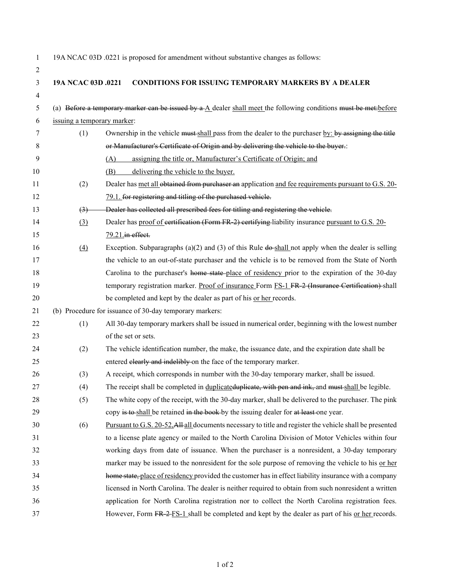| 1  |                             | 19A NCAC 03D .0221 is proposed for amendment without substantive changes as follows:                                    |
|----|-----------------------------|-------------------------------------------------------------------------------------------------------------------------|
| 2  |                             |                                                                                                                         |
| 3  | 19A NCAC 03D .0221          | <b>CONDITIONS FOR ISSUING TEMPORARY MARKERS BY A DEALER</b>                                                             |
| 4  |                             |                                                                                                                         |
| 5  |                             | (a) Before a temporary marker can be issued by $a \Delta$ dealer shall meet the following conditions must be met-before |
| 6  | issuing a temporary marker: |                                                                                                                         |
| 7  | (1)                         | Ownership in the vehicle must shall pass from the dealer to the purchaser by: by assigning the title                    |
| 8  |                             | or Manufacturer's Certificate of Origin and by delivering the vehicle to the buyer.:                                    |
| 9  |                             | assigning the title or, Manufacturer's Certificate of Origin; and<br>(A)                                                |
| 10 |                             | delivering the vehicle to the buyer.<br>(B)                                                                             |
| 11 | (2)                         | Dealer has met all obtained from purchaser an application and fee requirements pursuant to G.S. 20-                     |
| 12 |                             | 79.1. for registering and titling of the purchased vehicle.                                                             |
| 13 | $\left(3\right)$            | Dealer has collected all prescribed fees for titling and registering the vehicle.                                       |
| 14 | (3)                         | Dealer has proof of certification (Form FR 2) certifying liability insurance pursuant to G.S. 20-                       |
| 15 |                             | 79.21.in effect.                                                                                                        |
| 16 | (4)                         | Exception. Subparagraphs (a)(2) and (3) of this Rule $d\theta$ -shall not apply when the dealer is selling              |
| 17 |                             | the vehicle to an out-of-state purchaser and the vehicle is to be removed from the State of North                       |
| 18 |                             | Carolina to the purchaser's home state place of residency prior to the expiration of the 30-day                         |
| 19 |                             | temporary registration marker. Proof of insurance Form FS-1 FR-2 (Insurance Certification) shall                        |
| 20 |                             | be completed and kept by the dealer as part of his or her records.                                                      |
| 21 |                             | (b) Procedure for issuance of 30-day temporary markers:                                                                 |
| 22 | (1)                         | All 30-day temporary markers shall be issued in numerical order, beginning with the lowest number                       |
| 23 |                             | of the set or sets.                                                                                                     |
| 24 | (2)                         | The vehicle identification number, the make, the issuance date, and the expiration date shall be                        |
| 25 |                             | entered elearly and indelibly on the face of the temporary marker.                                                      |
| 26 | (3)                         | A receipt, which corresponds in number with the 30-day temporary marker, shall be issued.                               |
| 27 | (4)                         | The receipt shall be completed in duplicated uplicate, with pen and ink, and must shall be legible.                     |
| 28 | (5)                         | The white copy of the receipt, with the 30-day marker, shall be delivered to the purchaser. The pink                    |
| 29 |                             | copy is to shall be retained in the book-by the issuing dealer for at least one year.                                   |
| 30 | (6)                         | Pursuant to G.S. 20-52. All-all documents necessary to title and register the vehicle shall be presented                |
| 31 |                             | to a license plate agency or mailed to the North Carolina Division of Motor Vehicles within four                        |
| 32 |                             | working days from date of issuance. When the purchaser is a nonresident, a 30-day temporary                             |
| 33 |                             | marker may be issued to the nonresident for the sole purpose of removing the vehicle to his or her                      |
| 34 |                             | home state, place of residency provided the customer has in effect liability insurance with a company                   |
| 35 |                             | licensed in North Carolina. The dealer is neither required to obtain from such nonresident a written                    |
| 36 |                             | application for North Carolina registration nor to collect the North Carolina registration fees.                        |
| 37 |                             | However, Form FR 2-FS-1 shall be completed and kept by the dealer as part of his or her records.                        |